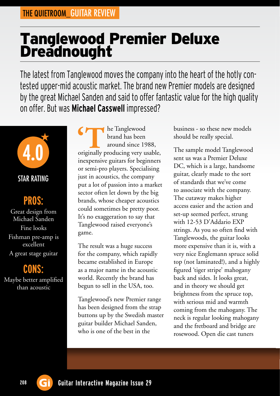## Tanglewood Premier Deluxe **Dreadnought**

The latest from Tanglewood moves the company into the heart of the hotly contested upper-mid acoustic market. The brand new Premier models are designed by the great Michael Sanden and said to offer fantastic value for the high quality on offer. But was **Michael Casswell** impressed?



## **PROS:**

Great design from Michael Sanden Fine looks Fishman pre-amp is excellent A great stage guitar

**CONS:** Maybe better amplified than acoustic

he Tanglewood brand has been around since 1988, originally producing very usable, **'T**inexpensive guitars for beginners or semi-pro players. Specialising just in acoustics, the company put a lot of passion into a market sector often let down by the big brands, whose cheaper acoustics could sometimes be pretty poor. It's no exaggeration to say that Tanglewood raised everyone's game.

The result was a huge success for the company, which rapidly became established in Europe as a major name in the acoustic world. Recently the brand has begun to sell in the USA, too.

Tanglewood's new Premier range has been designed from the strap buttons up by the Swedish master guitar builder Michael Sanden, who is one of the best in the

business - so these new models should be really special.

The sample model Tanglewood sent us was a Premier Deluxe DC, which is a large, handsome guitar, clearly made to the sort of standards that we've come to associate with the company. The cutaway makes higher access easier and the action and set-up seemed perfect, strung with 12-53 D'Addario EXP strings. As you so often find with Tanglewoods, the guitar looks more expensive than it is, with a very nice Englemann spruce solid top (not laminated!), and a highly figured 'tiger stripe' mahogany back and sides. It looks great, and in theory we should get brightness from the spruce top, with serious mid and warmth coming from the mahogany. The neck is regular looking mahogany and the fretboard and bridge are rosewood. Open die cast tuners

**208 Gi** Guitar Interactive Magazine Issue 29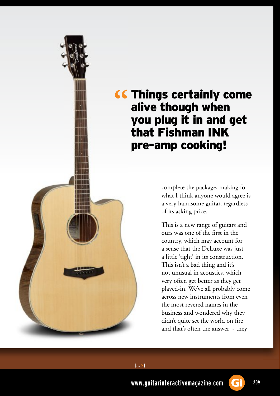

complete the package, making for what I think anyone would agree is a very handsome guitar, regardless of its asking price.

This is a new range of guitars and ours was one of the first in the country, which may account for a sense that the DeLuxe was just a little 'tight' in its construction. This isn't a bad thing and it's not unusual in acoustics, which very often get better as they get played-in. We've all probably come across new instruments from even the most revered names in the business and wondered why they didn't quite set the world on fire and that's often the answer - they



**www.guitarinteractivemagazine.com 209**

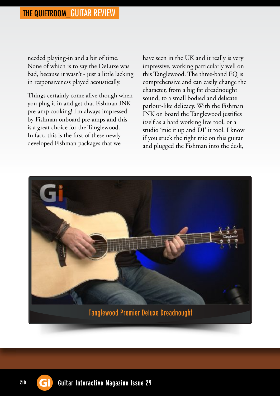needed playing-in and a bit of time. None of which is to say the DeLuxe was bad, because it wasn't - just a little lacking in responsiveness played acoustically.

Things certainly come alive though when you plug it in and get that Fishman INK pre-amp cooking! I'm always impressed by Fishman onboard pre-amps and this is a great choice for the Tanglewood. In fact, this is the first of these newly developed Fishman packages that we

have seen in the UK and it really is very impressive, working particularly well on this Tanglewood. The three-band EQ is comprehensive and can easily change the character, from a big fat dreadnought sound, to a small bodied and delicate parlour-like delicacy. With the Fishman INK on board the Tanglewood justifies itself as a hard working live tool, or a studio 'mic it up and DI' it tool. I know if you stuck the right mic on this guitar and plugged the Fishman into the desk,





210 **G**<sup> $\hat{}$ </sup> Guitar Interactive Magazine Issue 29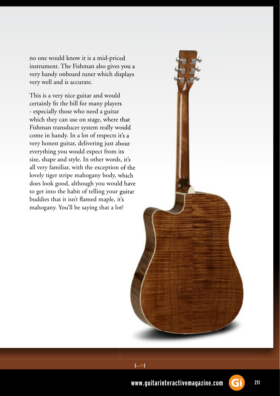no one would know it is a mid-priced instrument. The Fishman also gives you a very handy onboard tuner which displays very well and is accurate.

This is a very nice guitar and would certainly fit the bill for many players - especially those who need a guitar which they can use on stage, where that Fishman transducer system really would come in handy. In a lot of respects it's a very honest guitar, delivering just about everything you would expect from its size, shape and style. In other words, it's size, shape and style. In other words, it's all very familiar, with the exception of the lovely tiger stripe mahogany body, which does look good, although you would have to get into the habit of telling your guitar buddies that it isn't flamed maple, it's mahogany. You'll be saying that a lot!